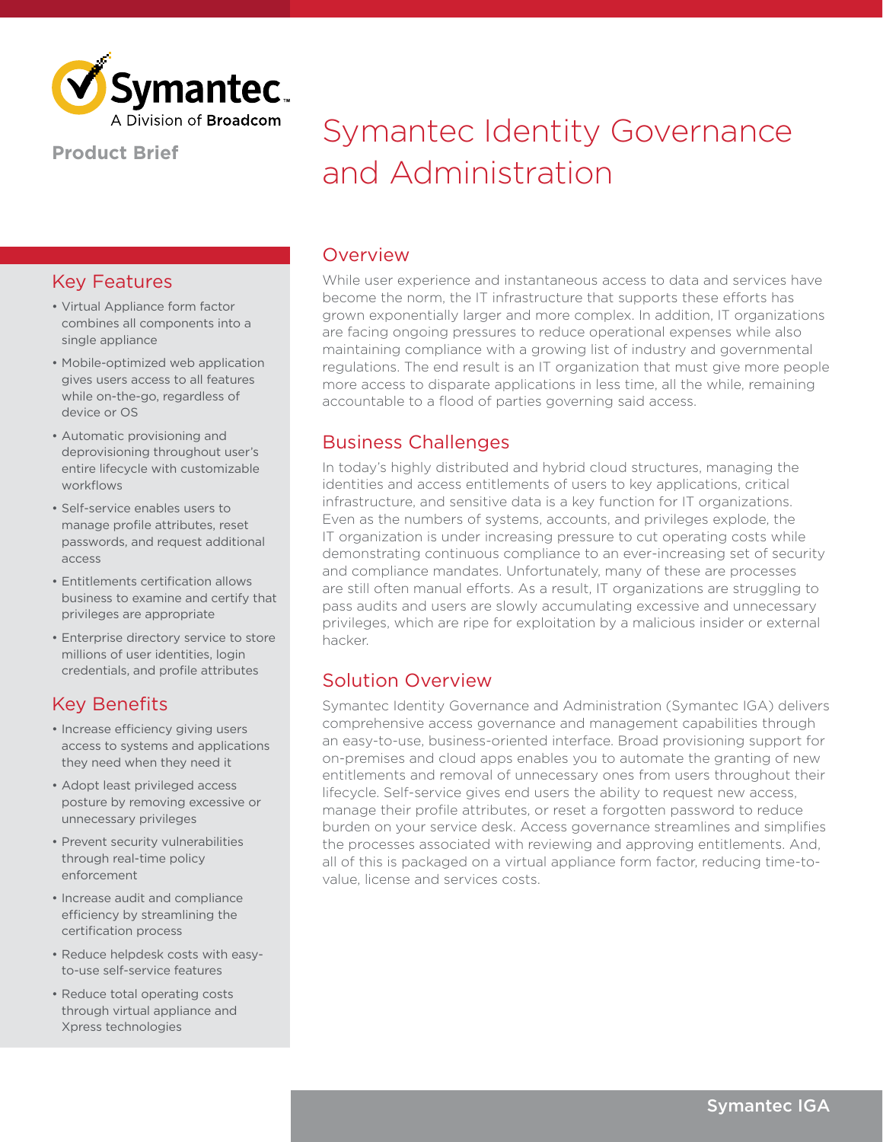

#### **Product Brief**

## Key Features

- Virtual Appliance form factor combines all components into a single appliance
- Mobile-optimized web application gives users access to all features while on-the-go, regardless of device or OS
- Automatic provisioning and deprovisioning throughout user's entire lifecycle with customizable workflows
- Self-service enables users to manage profile attributes, reset passwords, and request additional access
- Entitlements certification allows business to examine and certify that privileges are appropriate
- Enterprise directory service to store millions of user identities, login credentials, and profile attributes

## Key Benefits

- Increase efficiency giving users access to systems and applications they need when they need it
- Adopt least privileged access posture by removing excessive or unnecessary privileges
- Prevent security vulnerabilities through real-time policy enforcement
- Increase audit and compliance efficiency by streamlining the certification process
- Reduce helpdesk costs with easyto-use self-service features
- Reduce total operating costs through virtual appliance and Xpress technologies

# Symantec Identity Governance and Administration

#### Overview

While user experience and instantaneous access to data and services have become the norm, the IT infrastructure that supports these efforts has grown exponentially larger and more complex. In addition, IT organizations are facing ongoing pressures to reduce operational expenses while also maintaining compliance with a growing list of industry and governmental regulations. The end result is an IT organization that must give more people more access to disparate applications in less time, all the while, remaining accountable to a flood of parties governing said access.

## Business Challenges

In today's highly distributed and hybrid cloud structures, managing the identities and access entitlements of users to key applications, critical infrastructure, and sensitive data is a key function for IT organizations. Even as the numbers of systems, accounts, and privileges explode, the IT organization is under increasing pressure to cut operating costs while demonstrating continuous compliance to an ever-increasing set of security and compliance mandates. Unfortunately, many of these are processes are still often manual efforts. As a result, IT organizations are struggling to pass audits and users are slowly accumulating excessive and unnecessary privileges, which are ripe for exploitation by a malicious insider or external hacker.

## Solution Overview

Symantec Identity Governance and Administration (Symantec IGA) delivers comprehensive access governance and management capabilities through an easy-to-use, business-oriented interface. Broad provisioning support for on-premises and cloud apps enables you to automate the granting of new entitlements and removal of unnecessary ones from users throughout their lifecycle. Self-service gives end users the ability to request new access, manage their profile attributes, or reset a forgotten password to reduce burden on your service desk. Access governance streamlines and simplifies the processes associated with reviewing and approving entitlements. And, all of this is packaged on a virtual appliance form factor, reducing time-tovalue, license and services costs.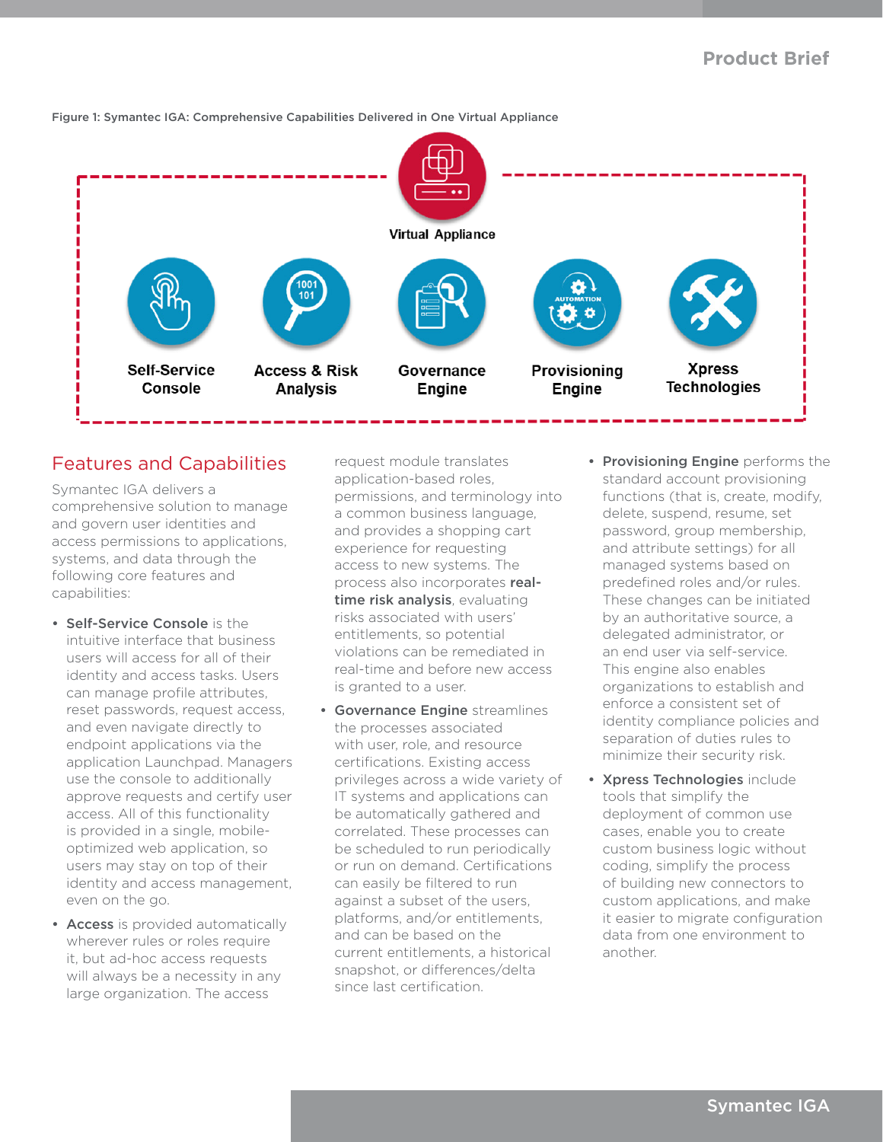

Figure 1: Symantec IGA: Comprehensive Capabilities Delivered in One Virtual Appliance

#### Features and Capabilities

Symantec IGA delivers a comprehensive solution to manage and govern user identities and access permissions to applications, systems, and data through the following core features and capabilities:

- Self-Service Console is the intuitive interface that business users will access for all of their identity and access tasks. Users can manage profile attributes, reset passwords, request access, and even navigate directly to endpoint applications via the application Launchpad. Managers use the console to additionally approve requests and certify user access. All of this functionality is provided in a single, mobileoptimized web application, so users may stay on top of their identity and access management, even on the go.
- Access is provided automatically wherever rules or roles require it, but ad-hoc access requests will always be a necessity in any large organization. The access

request module translates application-based roles, permissions, and terminology into a common business language, and provides a shopping cart experience for requesting access to new systems. The process also incorporates realtime risk analysis, evaluating risks associated with users' entitlements, so potential violations can be remediated in real-time and before new access is granted to a user.

- Governance Engine streamlines the processes associated with user, role, and resource certifications. Existing access privileges across a wide variety of IT systems and applications can be automatically gathered and correlated. These processes can be scheduled to run periodically or run on demand. Certifications can easily be filtered to run against a subset of the users, platforms, and/or entitlements, and can be based on the current entitlements, a historical snapshot, or differences/delta since last certification.
- Provisioning Engine performs the standard account provisioning functions (that is, create, modify, delete, suspend, resume, set password, group membership, and attribute settings) for all managed systems based on predefined roles and/or rules. These changes can be initiated by an authoritative source, a delegated administrator, or an end user via self-service. This engine also enables organizations to establish and enforce a consistent set of identity compliance policies and separation of duties rules to minimize their security risk.
- Xpress Technologies include tools that simplify the deployment of common use cases, enable you to create custom business logic without coding, simplify the process of building new connectors to custom applications, and make it easier to migrate configuration data from one environment to another.